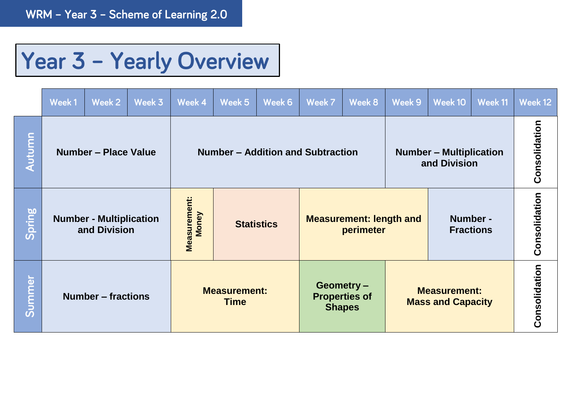## Year 3 - Yearly Overview

|        | Week 1 | Week 2                                         | Week 3 | Week 4                       | Week 5                             | Week 6            | Week 7                                      | Week 8                                              | Week 9                                         | Week 10                                         | Week 11       | Week 12       |
|--------|--------|------------------------------------------------|--------|------------------------------|------------------------------------|-------------------|---------------------------------------------|-----------------------------------------------------|------------------------------------------------|-------------------------------------------------|---------------|---------------|
| Autumn |        | Number - Place Value                           |        |                              | Number – Addition and Subtraction  |                   |                                             |                                                     | <b>Number – Multiplication</b><br>and Division |                                                 |               | Consolidation |
| Spring |        | <b>Number - Multiplication</b><br>and Division |        | Measurement:<br><b>Money</b> |                                    | <b>Statistics</b> | <b>Measurement: length and</b><br>perimeter |                                                     |                                                | Number -<br><b>Fractions</b>                    |               | Consolidation |
| Summer |        | <b>Number – fractions</b>                      |        |                              | <b>Measurement:</b><br><b>Time</b> |                   |                                             | Geometry -<br><b>Properties of</b><br><b>Shapes</b> |                                                | <b>Measurement:</b><br><b>Mass and Capacity</b> | Consolidation |               |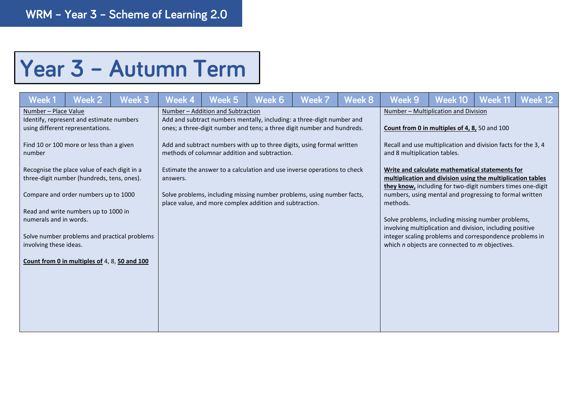## Year 3 - Autumn Term

| Week 1                                                         | Week 2                                                                                     | Week 3                                       | Week 4   | Week 5                                                  | Week 6 | Week 7                                                                                                                                            | Week 8                                                                                                                                                                                                                                              | <b>Week 9</b>                                                                                                                                                              | Week 10 | Week 11 | Week 12 |  |
|----------------------------------------------------------------|--------------------------------------------------------------------------------------------|----------------------------------------------|----------|---------------------------------------------------------|--------|---------------------------------------------------------------------------------------------------------------------------------------------------|-----------------------------------------------------------------------------------------------------------------------------------------------------------------------------------------------------------------------------------------------------|----------------------------------------------------------------------------------------------------------------------------------------------------------------------------|---------|---------|---------|--|
| Number - Place Value                                           | Identify, represent and estimate numbers<br>using different representations.               |                                              |          | Number - Addition and Subtraction                       |        | Add and subtract numbers mentally, including: a three-digit number and<br>ones; a three-digit number and tens; a three digit number and hundreds. | Number - Multiplication and Division<br>Count from 0 in multiples of 4, 8, 50 and 100                                                                                                                                                               |                                                                                                                                                                            |         |         |         |  |
| number                                                         | Find 10 or 100 more or less than a given                                                   |                                              |          | methods of columnar addition and subtraction.           |        | Add and subtract numbers with up to three digits, using formal written                                                                            | Recall and use multiplication and division facts for the 3, 4<br>and 8 multiplication tables.                                                                                                                                                       |                                                                                                                                                                            |         |         |         |  |
|                                                                | Recognise the place value of each digit in a<br>three-digit number (hundreds, tens, ones). |                                              | answers. |                                                         |        | Estimate the answer to a calculation and use inverse operations to check                                                                          | Write and calculate mathematical statements for<br>multiplication and division using the multiplication tables<br>they know, including for two-digit numbers times one-digit<br>numbers, using mental and progressing to formal written<br>methods. |                                                                                                                                                                            |         |         |         |  |
|                                                                | Compare and order numbers up to 1000                                                       |                                              |          | place value, and more complex addition and subtraction. |        | Solve problems, including missing number problems, using number facts,                                                                            |                                                                                                                                                                                                                                                     |                                                                                                                                                                            |         |         |         |  |
| Read and write numbers up to 1000 in<br>numerals and in words. |                                                                                            |                                              |          |                                                         |        |                                                                                                                                                   |                                                                                                                                                                                                                                                     | Solve problems, including missing number problems,                                                                                                                         |         |         |         |  |
| involving these ideas.                                         |                                                                                            | Solve number problems and practical problems |          |                                                         |        |                                                                                                                                                   |                                                                                                                                                                                                                                                     | involving multiplication and division, including positive<br>integer scaling problems and correspondence problems in<br>which $n$ objects are connected to $m$ objectives. |         |         |         |  |
|                                                                | Count from 0 in multiples of 4, 8, 50 and 100                                              |                                              |          |                                                         |        |                                                                                                                                                   |                                                                                                                                                                                                                                                     |                                                                                                                                                                            |         |         |         |  |
|                                                                |                                                                                            |                                              |          |                                                         |        |                                                                                                                                                   |                                                                                                                                                                                                                                                     |                                                                                                                                                                            |         |         |         |  |
|                                                                |                                                                                            |                                              |          |                                                         |        |                                                                                                                                                   |                                                                                                                                                                                                                                                     |                                                                                                                                                                            |         |         |         |  |
|                                                                |                                                                                            |                                              |          |                                                         |        |                                                                                                                                                   |                                                                                                                                                                                                                                                     |                                                                                                                                                                            |         |         |         |  |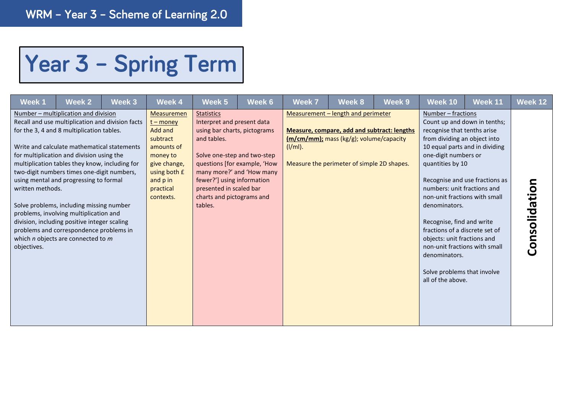## Year 3 - Spring Term

| Week 1                          | Week 2                                                                                                                                                                                                                                                                                                                                                                                                                                                                                                                                                                                                 | Week 3 | Week 4                                                                                                                                           | Week 5                                                                                                                                                                                                                         | Week 6                                                    | <b>Week 7</b> | Week 8                                                                                                                                                                            | Week 9 | Week 10                                                                                                                                                                                                                                                                                                                                                                                                            | Week 11                                                                                          | Week 12       |
|---------------------------------|--------------------------------------------------------------------------------------------------------------------------------------------------------------------------------------------------------------------------------------------------------------------------------------------------------------------------------------------------------------------------------------------------------------------------------------------------------------------------------------------------------------------------------------------------------------------------------------------------------|--------|--------------------------------------------------------------------------------------------------------------------------------------------------|--------------------------------------------------------------------------------------------------------------------------------------------------------------------------------------------------------------------------------|-----------------------------------------------------------|---------------|-----------------------------------------------------------------------------------------------------------------------------------------------------------------------------------|--------|--------------------------------------------------------------------------------------------------------------------------------------------------------------------------------------------------------------------------------------------------------------------------------------------------------------------------------------------------------------------------------------------------------------------|--------------------------------------------------------------------------------------------------|---------------|
| written methods.<br>objectives. | Number – multiplication and division<br>Recall and use multiplication and division facts<br>for the 3, 4 and 8 multiplication tables.<br>Write and calculate mathematical statements<br>for multiplication and division using the<br>multiplication tables they know, including for<br>two-digit numbers times one-digit numbers,<br>using mental and progressing to formal<br>Solve problems, including missing number<br>problems, involving multiplication and<br>division, including positive integer scaling<br>problems and correspondence problems in<br>which $n$ objects are connected to $m$ |        | Measuremen<br>$t$ – money<br>Add and<br>subtract<br>amounts of<br>money to<br>give change,<br>using both £<br>and p in<br>practical<br>contexts. | <b>Statistics</b><br>Interpret and present data<br>using bar charts, pictograms<br>and tables.<br>Solve one-step and two-step<br>fewer?'] using information<br>presented in scaled bar<br>charts and pictograms and<br>tables. | questions [for example, 'How<br>many more?' and 'How many | $(I/ml)$ .    | Measurement - length and perimeter<br><b>Measure, compare, add and subtract: lengths</b><br>(m/cm/mm); mass (kg/g); volume/capacity<br>Measure the perimeter of simple 2D shapes. |        | Number - fractions<br>recognise that tenths arise<br>from dividing an object into<br>one-digit numbers or<br>quantities by 10<br>numbers: unit fractions and<br>non-unit fractions with small<br>denominators.<br>Recognise, find and write<br>fractions of a discrete set of<br>objects: unit fractions and<br>non-unit fractions with small<br>denominators.<br>Solve problems that involve<br>all of the above. | Count up and down in tenths;<br>10 equal parts and in dividing<br>Recognise and use fractions as | Consolidation |